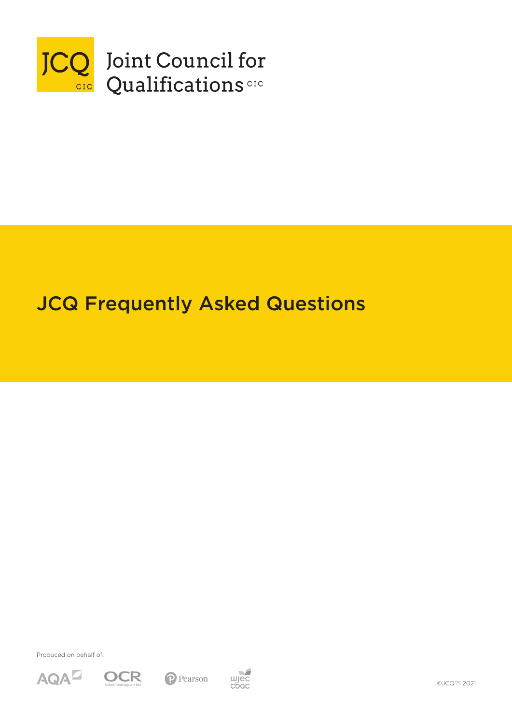

# JCQ Frequently Asked Questions

Produced on behalf of:









©JCQCIC 2021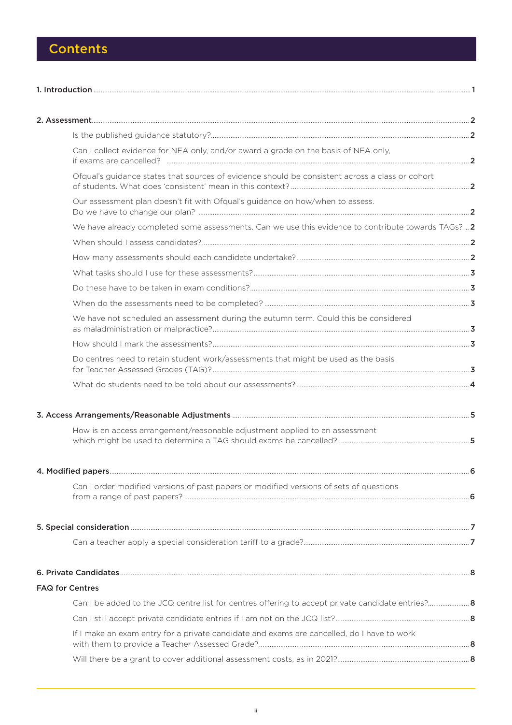## **Contents**

|                        | Can I collect evidence for NEA only, and/or award a grade on the basis of NEA only,                 |  |
|------------------------|-----------------------------------------------------------------------------------------------------|--|
|                        | Ofqual's guidance states that sources of evidence should be consistent across a class or cohort     |  |
|                        | Our assessment plan doesn't fit with Ofqual's guidance on how/when to assess.                       |  |
|                        | We have already completed some assessments. Can we use this evidence to contribute towards TAGs?  2 |  |
|                        |                                                                                                     |  |
|                        |                                                                                                     |  |
|                        |                                                                                                     |  |
|                        |                                                                                                     |  |
|                        |                                                                                                     |  |
|                        | We have not scheduled an assessment during the autumn term. Could this be considered                |  |
|                        |                                                                                                     |  |
|                        | Do centres need to retain student work/assessments that might be used as the basis                  |  |
|                        |                                                                                                     |  |
|                        |                                                                                                     |  |
|                        | How is an access arrangement/reasonable adjustment applied to an assessment                         |  |
|                        |                                                                                                     |  |
|                        |                                                                                                     |  |
| 4. Modified papers     | 6                                                                                                   |  |
|                        | Can I order modified versions of past papers or modified versions of sets of questions              |  |
|                        |                                                                                                     |  |
|                        |                                                                                                     |  |
|                        |                                                                                                     |  |
|                        |                                                                                                     |  |
| <b>FAQ for Centres</b> |                                                                                                     |  |
|                        |                                                                                                     |  |
|                        |                                                                                                     |  |
|                        | If I make an exam entry for a private candidate and exams are cancelled, do I have to work          |  |
|                        |                                                                                                     |  |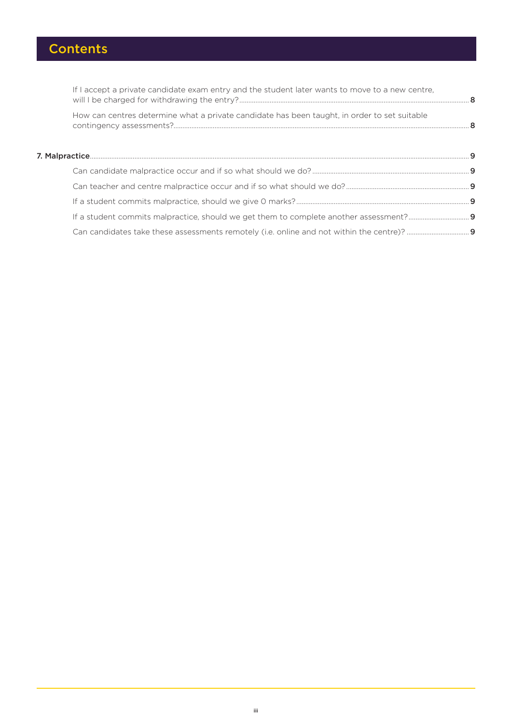# **Contents**

| If I accept a private candidate exam entry and the student later wants to move to a new centre, |  |
|-------------------------------------------------------------------------------------------------|--|
| How can centres determine what a private candidate has been taught, in order to set suitable    |  |
|                                                                                                 |  |
|                                                                                                 |  |
|                                                                                                 |  |
|                                                                                                 |  |
|                                                                                                 |  |
|                                                                                                 |  |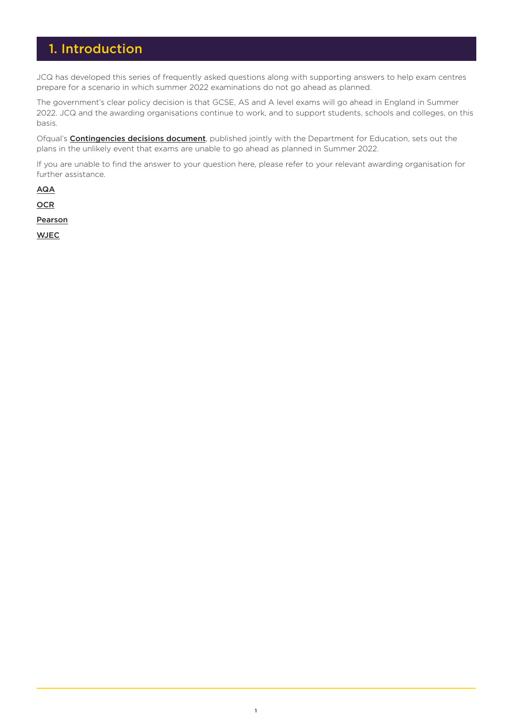### <span id="page-3-0"></span>1. Introduction

JCQ has developed this series of frequently asked questions along with supporting answers to help exam centres prepare for a scenario in which summer 2022 examinations do not go ahead as planned.

The government's clear policy decision is that GCSE, AS and A level exams will go ahead in England in Summer 2022. JCQ and the awarding organisations continue to work, and to support students, schools and colleges, on this basis.

Ofqual's **[Contingencies decisions document](https://www.gov.uk/government/consultations/contingency-arrangements-gcse-as-a-level-project-and-aea/outcome/decisions-on-contingency-arrangements-2022-gcse-as-a-level-project-and-aea?utm_source=JCQ&utm_medium=JCQ&utm_campaign=Contingencies+Decisions)**, published jointly with the Department for Education, sets out the plans in the unlikely event that exams are unable to go ahead as planned in Summer 2022.

If you are unable to find the answer to your question here, please refer to your relevant awarding organisation for further assistance.

[AQA](https://www.aqa.org.uk/contact-us)

**[OCR](https://www.ocr.org.uk/contact-us/)** 

[Pearson](https://www.pearson.com/uk/contact-us.html)

**[WJEC](https://www.eduqas.co.uk/)**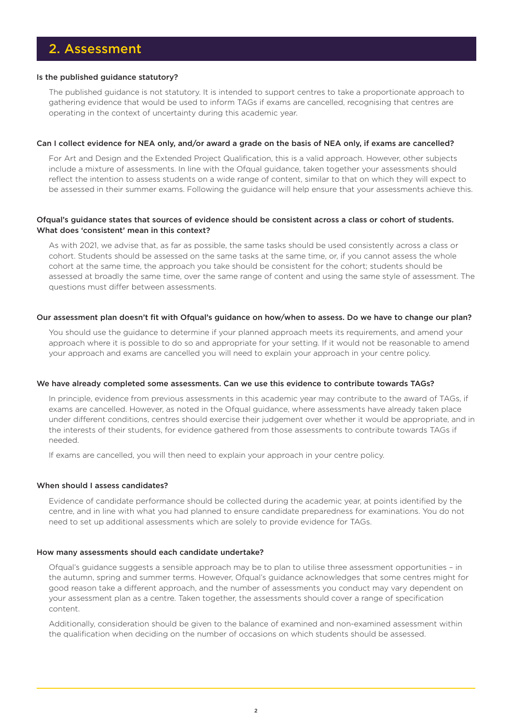### <span id="page-4-0"></span>2. Assessment

### Is the published guidance statutory?

The published guidance is not statutory. It is intended to support centres to take a proportionate approach to gathering evidence that would be used to inform TAGs if exams are cancelled, recognising that centres are operating in the context of uncertainty during this academic year.

### Can I collect evidence for NEA only, and/or award a grade on the basis of NEA only, if exams are cancelled?

For Art and Design and the Extended Project Qualification, this is a valid approach. However, other subjects include a mixture of assessments. In line with the Ofqual guidance, taken together your assessments should reflect the intention to assess students on a wide range of content, similar to that on which they will expect to be assessed in their summer exams. Following the guidance will help ensure that your assessments achieve this.

### Ofqual's guidance states that sources of evidence should be consistent across a class or cohort of students. What does 'consistent' mean in this context?

As with 2021, we advise that, as far as possible, the same tasks should be used consistently across a class or cohort. Students should be assessed on the same tasks at the same time, or, if you cannot assess the whole cohort at the same time, the approach you take should be consistent for the cohort; students should be assessed at broadly the same time, over the same range of content and using the same style of assessment. The questions must differ between assessments.

### Our assessment plan doesn't fit with Ofqual's guidance on how/when to assess. Do we have to change our plan?

You should use the guidance to determine if your planned approach meets its requirements, and amend your approach where it is possible to do so and appropriate for your setting. If it would not be reasonable to amend your approach and exams are cancelled you will need to explain your approach in your centre policy.

### We have already completed some assessments. Can we use this evidence to contribute towards TAGs?

In principle, evidence from previous assessments in this academic year may contribute to the award of TAGs, if exams are cancelled. However, as noted in the Ofqual guidance, where assessments have already taken place under different conditions, centres should exercise their judgement over whether it would be appropriate, and in the interests of their students, for evidence gathered from those assessments to contribute towards TAGs if needed.

If exams are cancelled, you will then need to explain your approach in your centre policy.

### When should I assess candidates?

Evidence of candidate performance should be collected during the academic year, at points identified by the centre, and in line with what you had planned to ensure candidate preparedness for examinations. You do not need to set up additional assessments which are solely to provide evidence for TAGs.

#### How many assessments should each candidate undertake?

Ofqual's guidance suggests a sensible approach may be to plan to utilise three assessment opportunities – in the autumn, spring and summer terms. However, Ofqual's guidance acknowledges that some centres might for good reason take a different approach, and the number of assessments you conduct may vary dependent on your assessment plan as a centre. Taken together, the assessments should cover a range of specification content.

Additionally, consideration should be given to the balance of examined and non-examined assessment within the qualification when deciding on the number of occasions on which students should be assessed.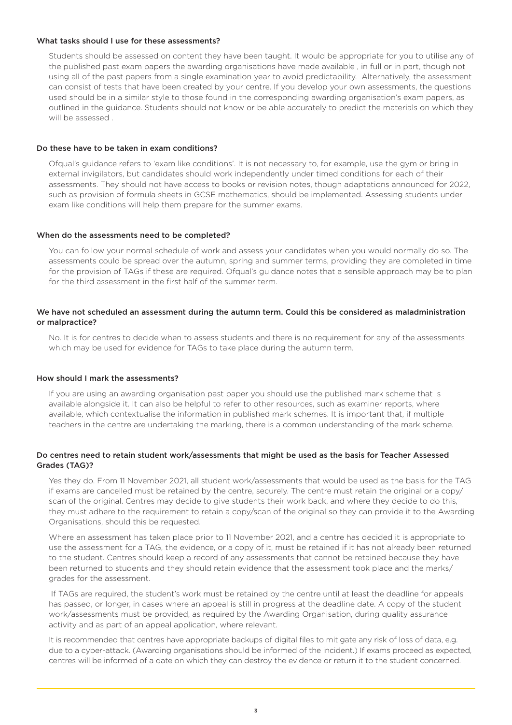### <span id="page-5-0"></span>What tasks should I use for these assessments?

Students should be assessed on content they have been taught. It would be appropriate for you to utilise any of the published past exam papers the awarding organisations have made available , in full or in part, though not using all of the past papers from a single examination year to avoid predictability. Alternatively, the assessment can consist of tests that have been created by your centre. If you develop your own assessments, the questions used should be in a similar style to those found in the corresponding awarding organisation's exam papers, as outlined in the guidance. Students should not know or be able accurately to predict the materials on which they will be assessed .

### Do these have to be taken in exam conditions?

Ofqual's guidance refers to 'exam like conditions'. It is not necessary to, for example, use the gym or bring in external invigilators, but candidates should work independently under timed conditions for each of their assessments. They should not have access to books or revision notes, though adaptations announced for 2022, such as provision of formula sheets in GCSE mathematics, should be implemented. Assessing students under exam like conditions will help them prepare for the summer exams.

### When do the assessments need to be completed?

You can follow your normal schedule of work and assess your candidates when you would normally do so. The assessments could be spread over the autumn, spring and summer terms, providing they are completed in time for the provision of TAGs if these are required. Ofqual's guidance notes that a sensible approach may be to plan for the third assessment in the first half of the summer term.

### We have not scheduled an assessment during the autumn term. Could this be considered as maladministration or malpractice?

No. It is for centres to decide when to assess students and there is no requirement for any of the assessments which may be used for evidence for TAGs to take place during the autumn term.

#### How should I mark the assessments?

If you are using an awarding organisation past paper you should use the published mark scheme that is available alongside it. It can also be helpful to refer to other resources, such as examiner reports, where available, which contextualise the information in published mark schemes. It is important that, if multiple teachers in the centre are undertaking the marking, there is a common understanding of the mark scheme.

### Do centres need to retain student work/assessments that might be used as the basis for Teacher Assessed Grades (TAG)?

Yes they do. From 11 November 2021, all student work/assessments that would be used as the basis for the TAG if exams are cancelled must be retained by the centre, securely. The centre must retain the original or a copy/ scan of the original. Centres may decide to give students their work back, and where they decide to do this, they must adhere to the requirement to retain a copy/scan of the original so they can provide it to the Awarding Organisations, should this be requested.

Where an assessment has taken place prior to 11 November 2021, and a centre has decided it is appropriate to use the assessment for a TAG, the evidence, or a copy of it, must be retained if it has not already been returned to the student. Centres should keep a record of any assessments that cannot be retained because they have been returned to students and they should retain evidence that the assessment took place and the marks/ grades for the assessment.

 If TAGs are required, the student's work must be retained by the centre until at least the deadline for appeals has passed, or longer, in cases where an appeal is still in progress at the deadline date. A copy of the student work/assessments must be provided, as required by the Awarding Organisation, during quality assurance activity and as part of an appeal application, where relevant.

It is recommended that centres have appropriate backups of digital files to mitigate any risk of loss of data, e.g. due to a cyber-attack. (Awarding organisations should be informed of the incident.) If exams proceed as expected, centres will be informed of a date on which they can destroy the evidence or return it to the student concerned.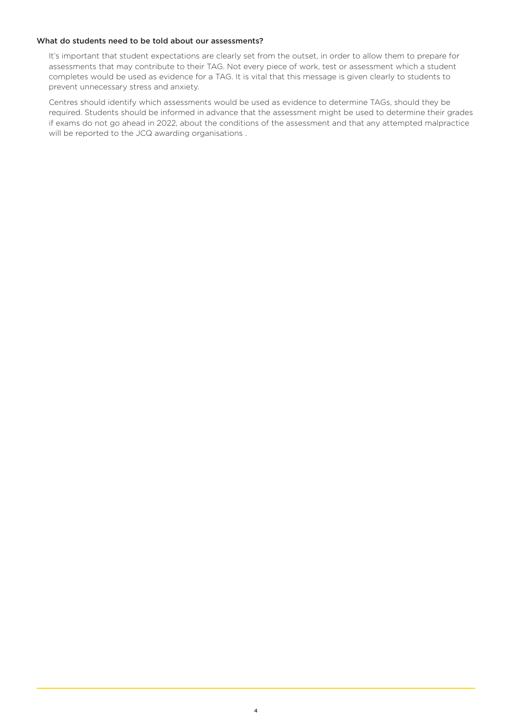### <span id="page-6-0"></span>What do students need to be told about our assessments?

It's important that student expectations are clearly set from the outset, in order to allow them to prepare for assessments that may contribute to their TAG. Not every piece of work, test or assessment which a student completes would be used as evidence for a TAG. It is vital that this message is given clearly to students to prevent unnecessary stress and anxiety.

Centres should identify which assessments would be used as evidence to determine TAGs, should they be required. Students should be informed in advance that the assessment might be used to determine their grades if exams do not go ahead in 2022, about the conditions of the assessment and that any attempted malpractice will be reported to the JCQ awarding organisations .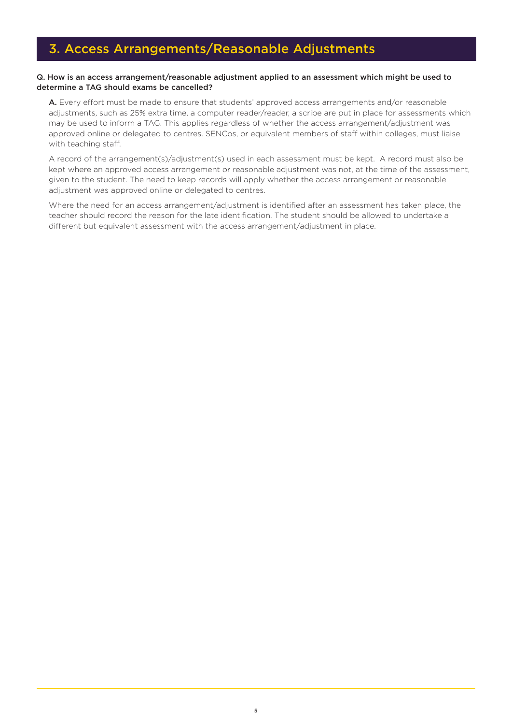### <span id="page-7-0"></span>Q. How is an access arrangement/reasonable adjustment applied to an assessment which might be used to determine a TAG should exams be cancelled?

A. Every effort must be made to ensure that students' approved access arrangements and/or reasonable adjustments, such as 25% extra time, a computer reader/reader, a scribe are put in place for assessments which may be used to inform a TAG. This applies regardless of whether the access arrangement/adjustment was approved online or delegated to centres. SENCos, or equivalent members of staff within colleges, must liaise with teaching staff.

A record of the arrangement(s)/adjustment(s) used in each assessment must be kept. A record must also be kept where an approved access arrangement or reasonable adjustment was not, at the time of the assessment, given to the student. The need to keep records will apply whether the access arrangement or reasonable adjustment was approved online or delegated to centres.

Where the need for an access arrangement/adjustment is identified after an assessment has taken place, the teacher should record the reason for the late identification. The student should be allowed to undertake a different but equivalent assessment with the access arrangement/adjustment in place.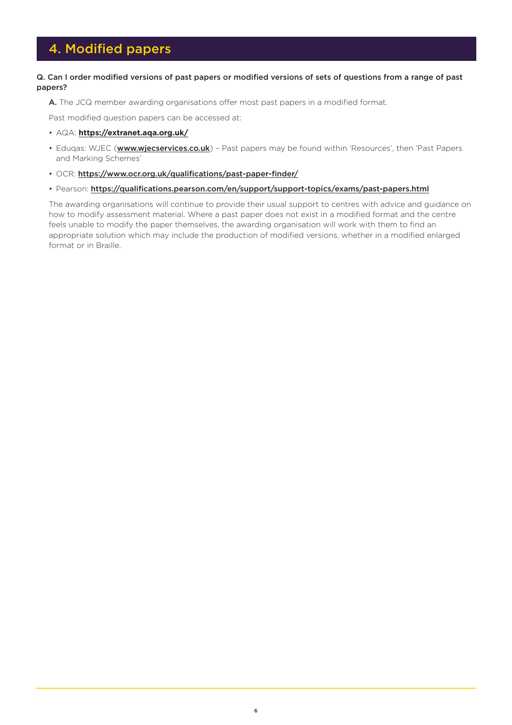### <span id="page-8-0"></span>4. Modified papers

### Q. Can I order modified versions of past papers or modified versions of sets of questions from a range of past papers?

A. The JCQ member awarding organisations offer most past papers in a modified format.

Past modified question papers can be accessed at:

- AQA: **[https://extranet.aqa.org.uk/](https://signon.aqa.org.uk/sso/jsp/login.jsp?site2pstoretoken=v1.4~2E5421DC~DA7DBF9826505D4EF5841356BADAEEC76D7EB192AFEA6BA55A1AE5D1AEDBBFACE84F98DFDD4D5935D27E8E3E68A29226B09F2DEA6ED5E7F95744A8B7EC52469E867077BE01321C163C3673ABBFE4FB1297F0AA22F692D87B502065F7B7E632ACA4CC61A1FF823BE73BA28CD2B6C0978D99F342512E5EBA1DFAD4E17FAD321E9D7D4B9CAD152B0430EB9D6442552C1B33F853799388163486F1FBFA9D62BDE220F2F63A4404CB59011F17F4BDD5E832BF913963ADE2E8FCEEB714B4534607BAE3&p_error_code=&p_submit_url=https%3A%2F%2Fsignon.aqa.org.uk%2Fsso%2Fauth&p_cancel_url=https%3A%2F%2Fextranet.aqa.org.uk&ssousername=)**
- Eduqas: WJEC (**[www.wjecservices.co.uk](https://www.wjecservices.co.uk/login.asp)**) Past papers may be found within 'Resources', then 'Past Papers and Marking Schemes'
- OCR: <https://www.ocr.org.uk/qualifications/past-paper-finder/>
- Pearson: <https://qualifications.pearson.com/en/support/support-topics/exams/past-papers.html>

The awarding organisations will continue to provide their usual support to centres with advice and guidance on how to modify assessment material. Where a past paper does not exist in a modified format and the centre feels unable to modify the paper themselves, the awarding organisation will work with them to find an appropriate solution which may include the production of modified versions, whether in a modified enlarged format or in Braille.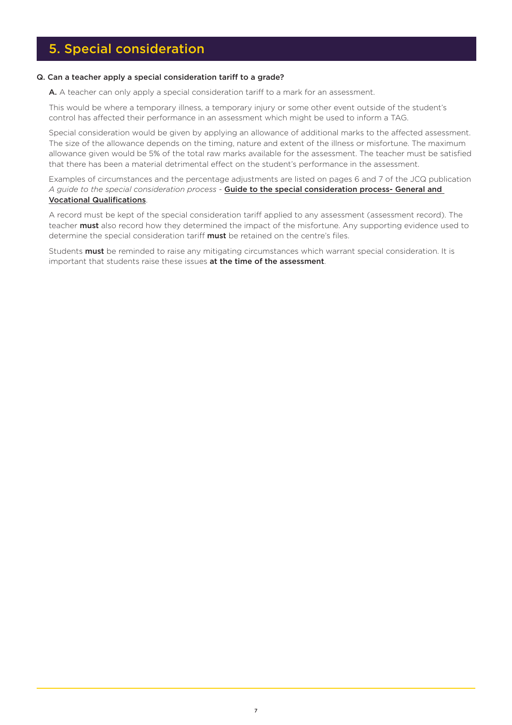### <span id="page-9-0"></span>5. Special consideration

### Q. Can a teacher apply a special consideration tariff to a grade?

A. A teacher can only apply a special consideration tariff to a mark for an assessment.

This would be where a temporary illness, a temporary injury or some other event outside of the student's control has affected their performance in an assessment which might be used to inform a TAG.

Special consideration would be given by applying an allowance of additional marks to the affected assessment. The size of the allowance depends on the timing, nature and extent of the illness or misfortune. The maximum allowance given would be 5% of the total raw marks available for the assessment. The teacher must be satisfied that there has been a material detrimental effect on the student's performance in the assessment.

Examples of circumstances and the percentage adjustments are listed on pages 6 and 7 of the JCQ publication *A guide to the special consideration process* - [Guide to the special consideration process- General and](https://www.jcq.org.uk/wp-content/uploads/2021/06/Guide_to_spec_con_process_2122.pdf)  [Vocational Qualifications](https://www.jcq.org.uk/wp-content/uploads/2021/06/Guide_to_spec_con_process_2122.pdf).

A record must be kept of the special consideration tariff applied to any assessment (assessment record). The teacher **must** also record how they determined the impact of the misfortune. Any supporting evidence used to determine the special consideration tariff must be retained on the centre's files.

Students must be reminded to raise any mitigating circumstances which warrant special consideration. It is important that students raise these issues at the time of the assessment.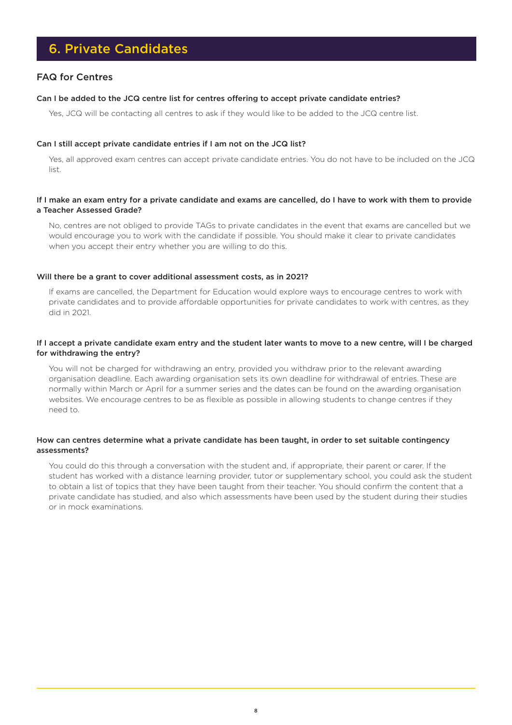### <span id="page-10-0"></span>6. Private Candidates

### FAQ for Centres

### Can I be added to the JCQ centre list for centres offering to accept private candidate entries?

Yes, JCQ will be contacting all centres to ask if they would like to be added to the JCQ centre list.

### Can I still accept private candidate entries if I am not on the JCQ list?

Yes, all approved exam centres can accept private candidate entries. You do not have to be included on the JCQ list.

### If I make an exam entry for a private candidate and exams are cancelled, do I have to work with them to provide a Teacher Assessed Grade?

No, centres are not obliged to provide TAGs to private candidates in the event that exams are cancelled but we would encourage you to work with the candidate if possible. You should make it clear to private candidates when you accept their entry whether you are willing to do this.

### Will there be a grant to cover additional assessment costs, as in 2021?

If exams are cancelled, the Department for Education would explore ways to encourage centres to work with private candidates and to provide affordable opportunities for private candidates to work with centres, as they did in 2021.

### If I accept a private candidate exam entry and the student later wants to move to a new centre, will I be charged for withdrawing the entry?

You will not be charged for withdrawing an entry, provided you withdraw prior to the relevant awarding organisation deadline. Each awarding organisation sets its own deadline for withdrawal of entries. These are normally within March or April for a summer series and the dates can be found on the awarding organisation websites. We encourage centres to be as flexible as possible in allowing students to change centres if they need to.

### How can centres determine what a private candidate has been taught, in order to set suitable contingency assessments?

You could do this through a conversation with the student and, if appropriate, their parent or carer. If the student has worked with a distance learning provider, tutor or supplementary school, you could ask the student to obtain a list of topics that they have been taught from their teacher. You should confirm the content that a private candidate has studied, and also which assessments have been used by the student during their studies or in mock examinations.